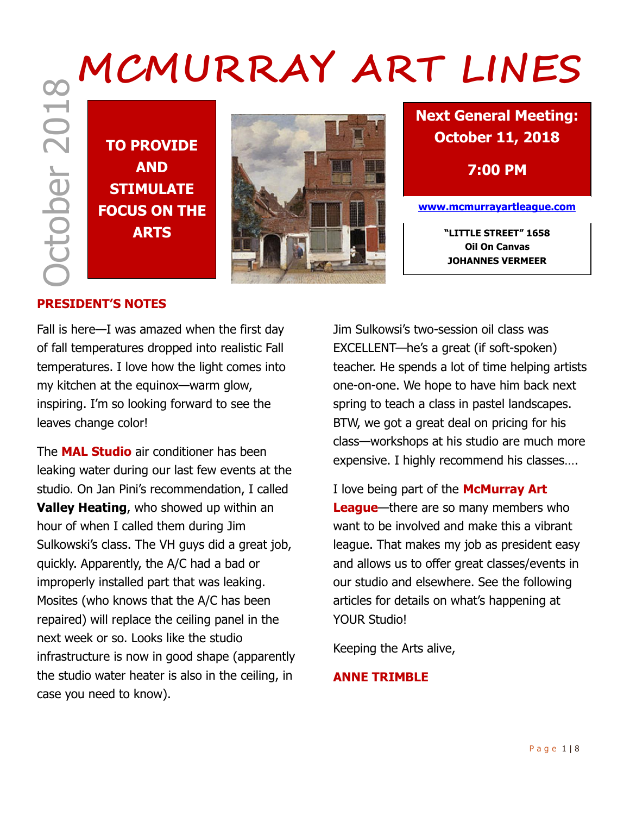# October 2018  **MCMURRAY ART LINES**

**TO PROVIDE AND STIMULATE FOCUS ON THE**



**Next General Meeting: October 11, 2018**

**7:00 PM**

**www.mcmurrayartleague.com**

**Oil On Canvas JOHANNES VERMEER**

## **PRESIDENT'S NOTES**

Fall is here—I was amazed when the first day of fall temperatures dropped into realistic Fall temperatures. I love how the light comes into my kitchen at the equinox—warm glow, inspiring. I'm so looking forward to see the leaves change color!

The **MAL Studio** air conditioner has been leaking water during our last few events at the studio. On Jan Pini's recommendation, I called **Valley Heating**, who showed up within an hour of when I called them during Jim Sulkowski's class. The VH guys did a great job, quickly. Apparently, the A/C had a bad or improperly installed part that was leaking. Mosites (who knows that the A/C has been repaired) will replace the ceiling panel in the next week or so. Looks like the studio infrastructure is now in good shape (apparently the studio water heater is also in the ceiling, in case you need to know).

Jim Sulkowsi's two-session oil class was EXCELLENT—he's a great (if soft-spoken) teacher. He spends a lot of time helping artists one-on-one. We hope to have him back next spring to teach a class in pastel landscapes. BTW, we got a great deal on pricing for his class—workshops at his studio are much more expensive. I highly recommend his classes….

I love being part of the **McMurray Art League**—there are so many members who want to be involved and make this a vibrant league. That makes my job as president easy and allows us to offer great classes/events in our studio and elsewhere. See the following articles for details on what's happening at YOUR Studio!

Keeping the Arts alive,

### **ANNE TRIMBLE**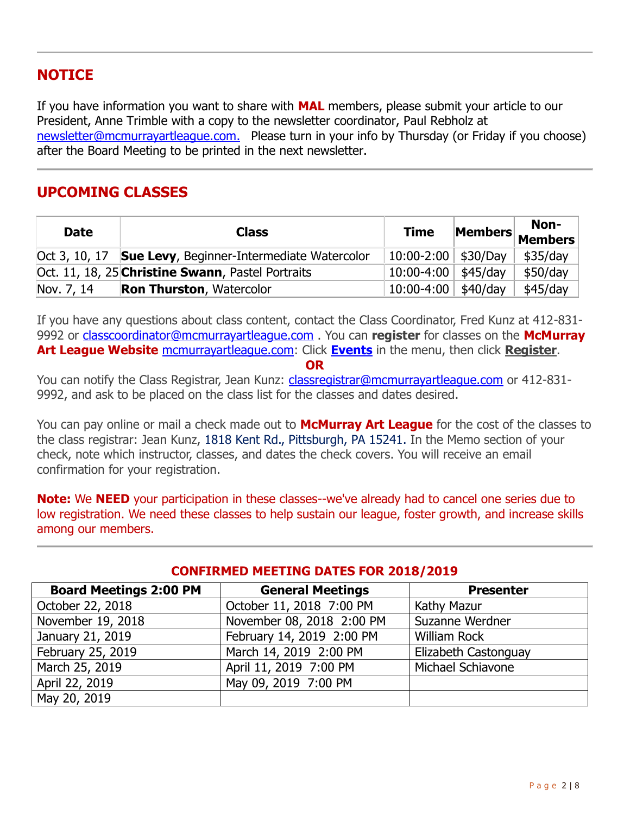# **NOTICE**

If you have information you want to share with **MAL** members, please submit your article to our President, Anne Trimble with a copy to the newsletter coordinator, Paul Rebholz at [newsletter@mcmurrayartleague.com.](mailto:newsletter@mcmurrayartleague.com) Please turn in your info by Thursday (or Friday if you choose) after the Board Meeting to be printed in the next newsletter.

# **UPCOMING CLASSES**

| <b>Date</b> | <b>Class</b>                                                     | <b>Time</b>             |                  | Non-<br>Members Members |
|-------------|------------------------------------------------------------------|-------------------------|------------------|-------------------------|
|             | Oct 3, 10, 17 <b>Sue Levy</b> , Beginner-Intermediate Watercolor | $10:00 - 2:00$ \$30/Day |                  | $$35$ /day              |
|             | Oct. 11, 18, 25 Christine Swann, Pastel Portraits                | $10:00-4:00$ \$45/day   |                  | \$50/day                |
| Nov. 7, 14  | <b>Ron Thurston, Watercolor</b>                                  | $10:00 - 4:00$          | $\frac{40}{day}$ | \$45/day                |

If you have any questions about class content, contact the Class Coordinator, Fred Kunz at 412-831- 9992 or [classcoordinator@mcmurrayartleague.com](mailto:classcoordinator@mcmurrayartleague.com) . You can **register** for classes on the **McMurray**  Art League Website [mcmurrayartleague.com:](http://mcmurrayartleague.com/) Click **[Events](https://www.mcmurrayartleague.com/page-1498580)** in the menu, then click **Register**.

### **OR**

You can notify the Class Registrar, Jean Kunz: [classregistrar@mcmurrayartleague.com](mailto:classregistrar@mcmurrayartleague.com) or 412-831-9992, and ask to be placed on the class list for the classes and dates desired.

You can pay online or mail a check made out to **McMurray Art League** for the cost of the classes to the class registrar: Jean Kunz, 1818 Kent Rd., Pittsburgh, PA 15241. In the Memo section of your check, note which instructor, classes, and dates the check covers. You will receive an email confirmation for your registration.

**Note:** We **NEED** your participation in these classes--we've already had to cancel one series due to low registration. We need these classes to help sustain our league, foster growth, and increase skills among our members.

### **CONFIRMED MEETING DATES FOR 2018/2019**

| <b>Board Meetings 2:00 PM</b> | <b>General Meetings</b>   | <b>Presenter</b>     |
|-------------------------------|---------------------------|----------------------|
| October 22, 2018              | October 11, 2018 7:00 PM  | Kathy Mazur          |
| November 19, 2018             | November 08, 2018 2:00 PM | Suzanne Werdner      |
| January 21, 2019              | February 14, 2019 2:00 PM | William Rock         |
| February 25, 2019             | March 14, 2019 2:00 PM    | Elizabeth Castonguay |
| March 25, 2019                | April 11, 2019 7:00 PM    | Michael Schiavone    |
| April 22, 2019                | May 09, 2019 7:00 PM      |                      |
| May 20, 2019                  |                           |                      |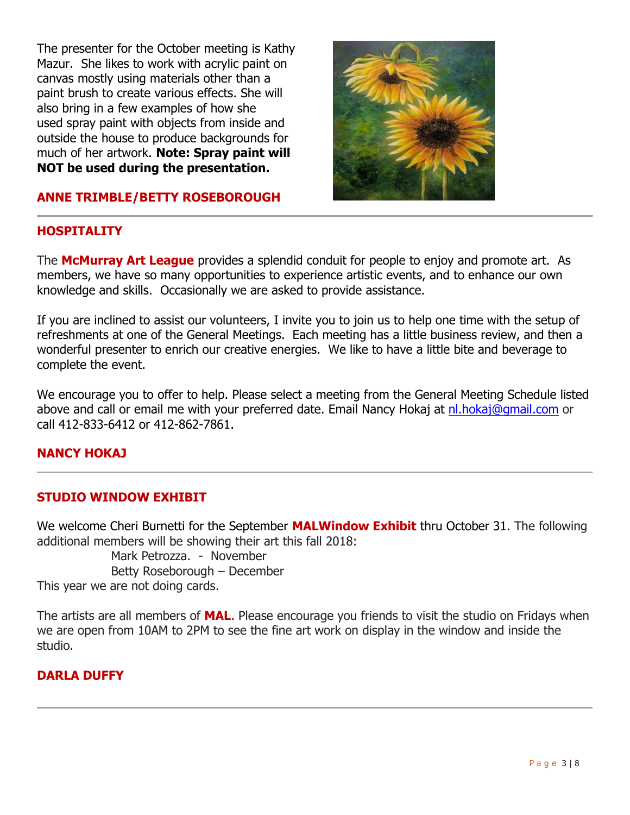The presenter for the October meeting is Kathy Mazur. She likes to work with acrylic paint on canvas mostly using materials other than a paint brush to create various effects. She will also bring in a few examples of how she used spray paint with objects from inside and outside the house to produce backgrounds for much of her artwork. **Note: Spray paint will NOT be used during the presentation.**



### **ANNE TRIMBLE/BETTY ROSEBOROUGH**

### **HOSPITALITY**

The **McMurray Art League** provides a splendid conduit for people to enjoy and promote art. As members, we have so many opportunities to experience artistic events, and to enhance our own knowledge and skills. Occasionally we are asked to provide assistance.

If you are inclined to assist our volunteers, I invite you to join us to help one time with the setup of refreshments at one of the General Meetings. Each meeting has a little business review, and then a wonderful presenter to enrich our creative energies. We like to have a little bite and beverage to complete the event.

We encourage you to offer to help. Please select a meeting from the General Meeting Schedule listed above and call or email me with your preferred date. Email Nancy Hokaj at [nl.hokaj@gmail.com](mailto:nl.hokaj@gmail.com) or call 412-833-6412 or 412-862-7861.

### **NANCY HOKAJ**

### **STUDIO WINDOW EXHIBIT**

We welcome Cheri Burnetti for the September **MALWindow Exhibit** thru October 31. The following additional members will be showing their art this fall 2018:

Mark Petrozza. - November Betty Roseborough – December This year we are not doing cards.

The artists are all members of **MAL**. Please encourage you friends to visit the studio on Fridays when we are open from 10AM to 2PM to see the fine art work on display in the window and inside the studio.

### **DARLA DUFFY**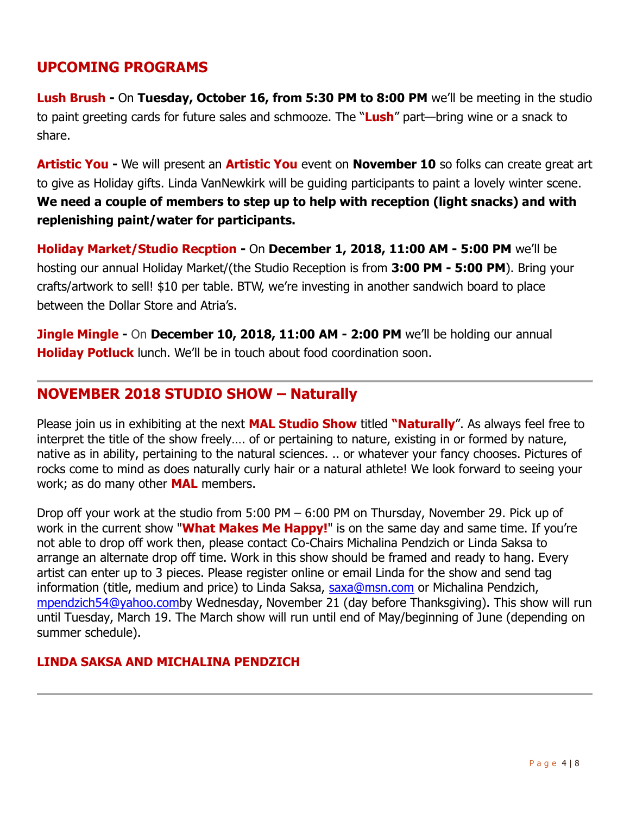# **UPCOMING PROGRAMS**

**Lush Brush -** On **Tuesday, October 16, from 5:30 PM to 8:00 PM** we'll be meeting in the studio to paint greeting cards for future sales and schmooze. The "**Lush**" part—bring wine or a snack to share.

**Artistic You -** We will present an **Artistic You** event on **November 10** so folks can create great art to give as Holiday gifts. Linda VanNewkirk will be guiding participants to paint a lovely winter scene. **We need a couple of members to step up to help with reception (light snacks) and with replenishing paint/water for participants.**

**Holiday Market/Studio Recption -** On **December 1, 2018, 11:00 AM - 5:00 PM** we'll be hosting our annual Holiday Market/(the Studio Reception is from **3:00 PM - 5:00 PM**). Bring your crafts/artwork to sell! \$10 per table. BTW, we're investing in another sandwich board to place between the Dollar Store and Atria's.

**Jingle Mingle -** On **December 10, 2018, 11:00 AM - 2:00 PM** we'll be holding our annual **Holiday Potluck** lunch. We'll be in touch about food coordination soon.

# **NOVEMBER 2018 STUDIO SHOW – Naturally**

Please join us in exhibiting at the next **MAL Studio Show** titled "**Naturally**". As always feel free to interpret the title of the show freely…. of or pertaining to nature, existing in or formed by nature, native as in ability, pertaining to the natural sciences. .. or whatever your fancy chooses. Pictures of rocks come to mind as does naturally curly hair or a natural athlete! We look forward to seeing your work; as do many other **MAL** members.

Drop off your work at the studio from 5:00 PM – 6:00 PM on Thursday, November 29. Pick up of work in the current show "**What Makes Me Happy!**" is on the same day and same time. If you're not able to drop off work then, please contact Co-Chairs Michalina Pendzich or Linda Saksa to arrange an alternate drop off time. Work in this show should be framed and ready to hang. Every artist can enter up to 3 pieces. Please register online or email Linda for the show and send tag information (title, medium and price) to Linda Saksa, [saxa@msn.com](mailto:saxa@msn.com) or Michalina Pendzich, [mpendzich54@yahoo.comb](mailto:mpendzich54@yahoo.com)y Wednesday, November 21 (day before Thanksgiving). This show will run until Tuesday, March 19. The March show will run until end of May/beginning of June (depending on summer schedule).

### **LINDA SAKSA AND MICHALINA PENDZICH**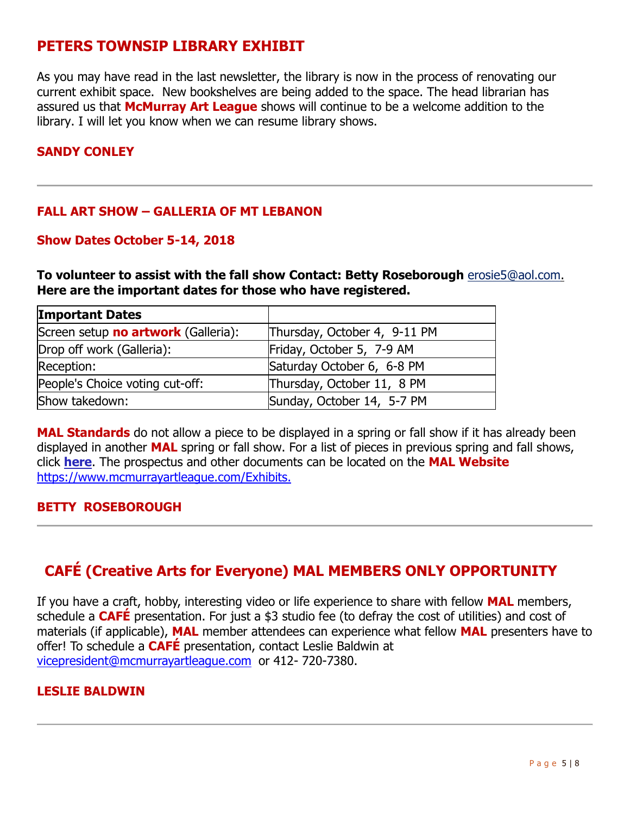# **PETERS TOWNSIP LIBRARY EXHIBIT**

As you may have read in the last newsletter, the library is now in the process of renovating our current exhibit space. New bookshelves are being added to the space. The head librarian has assured us that **McMurray Art League** shows will continue to be a welcome addition to the library. I will let you know when we can resume library shows.

### **SANDY CONLEY**

### **FALL ART SHOW – GALLERIA OF MT LEBANON**

### **Show Dates October 5-14, 2018**

**To volunteer to assist with the fall show Contact: Betty Roseborough** [erosie5@aol.com.](mailto:erosie5@aol.com) **Here are the important dates for those who have registered.**

| <b>Important Dates</b>              |                              |  |
|-------------------------------------|------------------------------|--|
| Screen setup no artwork (Galleria): | Thursday, October 4, 9-11 PM |  |
| Drop off work (Galleria):           | Friday, October 5, 7-9 AM    |  |
| Reception:                          | Saturday October 6, 6-8 PM   |  |
| People's Choice voting cut-off:     | Thursday, October 11, 8 PM   |  |
| Show takedown:                      | Sunday, October 14, 5-7 PM   |  |

**MAL Standards** do not allow a piece to be displayed in a spring or fall show if it has already been displayed in another **MAL** spring or fall show. For a list of pieces in previous spring and fall shows, click **[here](https://www.mcmurrayartleague.com/Past-Exhibits)**. The prospectus and other documents can be located on the **MAL Website**  <https://www.mcmurrayartleague.com/Exhibits.>

### **BETTY ROSEBOROUGH**

# **CAFÉ (Creative Arts for Everyone) MAL MEMBERS ONLY OPPORTUNITY**

If you have a craft, hobby, interesting video or life experience to share with fellow **MAL** members, schedule a **CAFÉ** presentation. For just a \$3 studio fee (to defray the cost of utilities) and cost of materials (if applicable), **MAL** member attendees can experience what fellow **MAL** presenters have to offer! To schedule a **CAFÉ** presentation, contact Leslie Baldwin at [vicepresident@mcmurrayartleague.com](mailto:vicepresident@mcmurrayartleague.com) or 412- 720-7380.

### **LESLIE BALDWIN**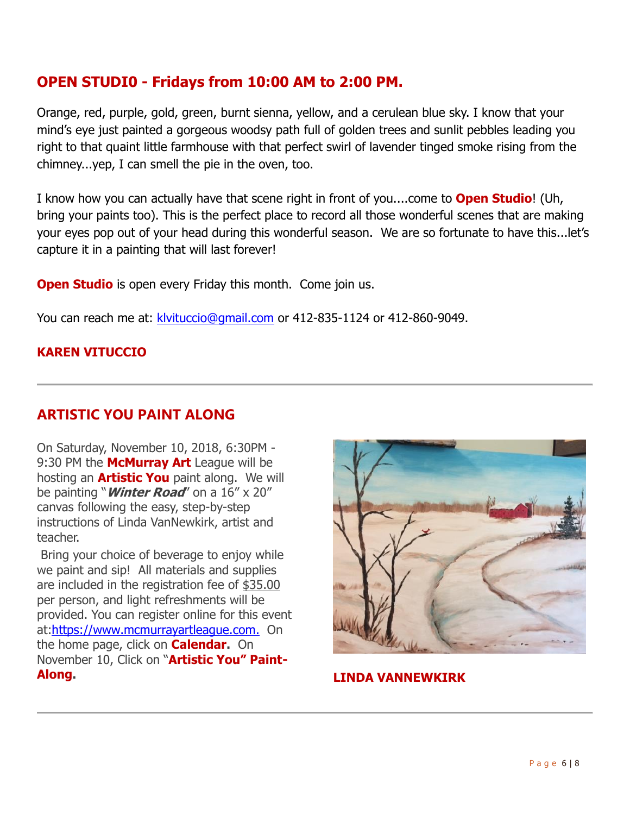# **OPEN STUDI0 - Fridays from 10:00 AM to 2:00 PM.**

Orange, red, purple, gold, green, burnt sienna, yellow, and a cerulean blue sky. I know that your mind's eye just painted a gorgeous woodsy path full of golden trees and sunlit pebbles leading you right to that quaint little farmhouse with that perfect swirl of lavender tinged smoke rising from the chimney...yep, I can smell the pie in the oven, too.

I know how you can actually have that scene right in front of you....come to **Open Studio**! (Uh, bring your paints too). This is the perfect place to record all those wonderful scenes that are making your eyes pop out of your head during this wonderful season. We are so fortunate to have this...let's capture it in a painting that will last forever!

**Open Studio** is open every Friday this month. Come join us.

You can reach me at: klyituccio@gmail.com or 412-835-1124 or 412-860-9049.

### **KAREN VITUCCIO**

# **ARTISTIC YOU PAINT ALONG**

On Saturday, November 10, 2018, 6:30PM - 9:30 PM the **McMurray Art** League will be hosting an **Artistic You** paint along. We will be painting "**Winter Road**" on a 16" x 20" canvas following the easy, step-by-step instructions of Linda VanNewkirk, artist and teacher.

Bring your choice of beverage to enjoy while we paint and sip! All materials and supplies are included in the registration fee of \$35.00 per person, and light refreshments will be provided. You can register online for this event at[:https://www.mcmurrayartleague.com.](https://www.mcmurrayartleague.com/) On the home page, click on **Calendar.** On November 10, Click on "Artistic You" Paint-**Along.**



**LINDA VANNEWKIRK**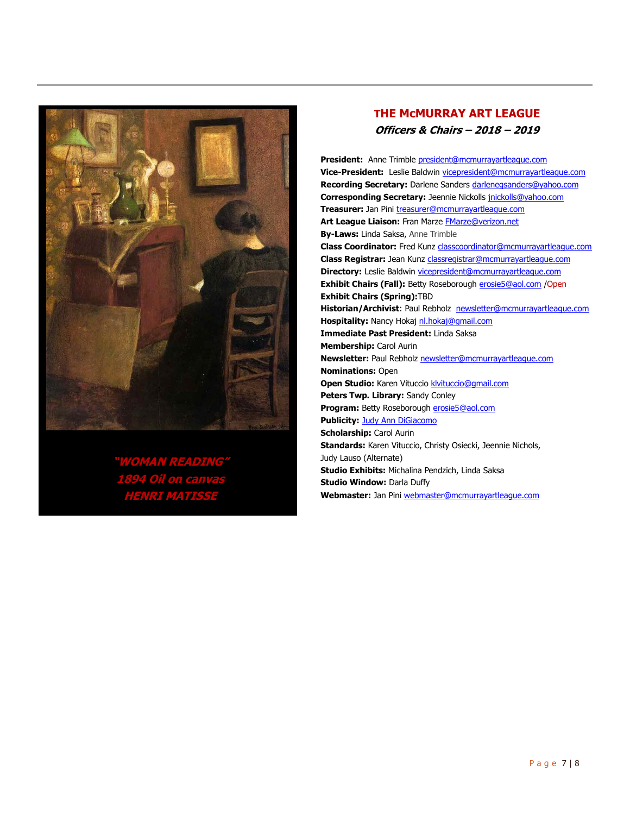

## **"WOMAN READING" 1894 Oil on canvas HENRI MATISSE**

### **THE McMURRAY ART LEAGUE Officers & Chairs – 2018 – 2019**

President: Anne Trimble president@mcmurrayartleague.com **Vice-President:** Leslie Baldwin vicepresident@mcmurrayartleague.com **Recording Secretary:** Darlene Sanders darlenegsanders@yahoo.com **Corresponding Secretary:** Jeennie Nickolls jnickolls@yahoo.com **Treasurer:** Jan Pini treasurer@mcmurrayartleague.com Art League Liaison: Fran Marze **FMarze@verizon.net By-Laws:** Linda Saksa, Anne Trimble **Class Coordinator:** Fred Kunz classcoordinator@mcmurrayartleague.com **Class Registrar:** Jean Kunz classregistrar@mcmurrayartleague.com **Directory:** Leslie Baldwin vicepresident@mcmurrayartleague.com Exhibit Chairs (Fall): Betty Roseborough **erosie5@aol.com** / Open **Exhibit Chairs (Spring):**TBD **Historian/Archivist**: Paul Rebholz newsletter@mcmurrayartleague.com **Hospitality:** Nancy Hokaj nl.hokaj@gmail.com **Immediate Past President:** Linda Saksa **Membership:** Carol Aurin **Newsletter:** Paul Rebholz newsletter@mcmurrayartleague.com **Nominations:** Open **Open Studio:** Karen Vituccio klvituccio@gmail.com **Peters Twp. Library:** Sandy Conley Program: Betty Roseborough **erosie5@aol.com Publicity: Judy Ann DiGiacomo Scholarship:** Carol Aurin **Standards:** Karen Vituccio, Christy Osiecki, Jeennie Nichols, Judy Lauso (Alternate) **Studio Exhibits:** Michalina Pendzich, Linda Saksa **Studio Window: Darla Duffy Webmaster:** Jan Pini webmaster@mcmurrayartleague.com